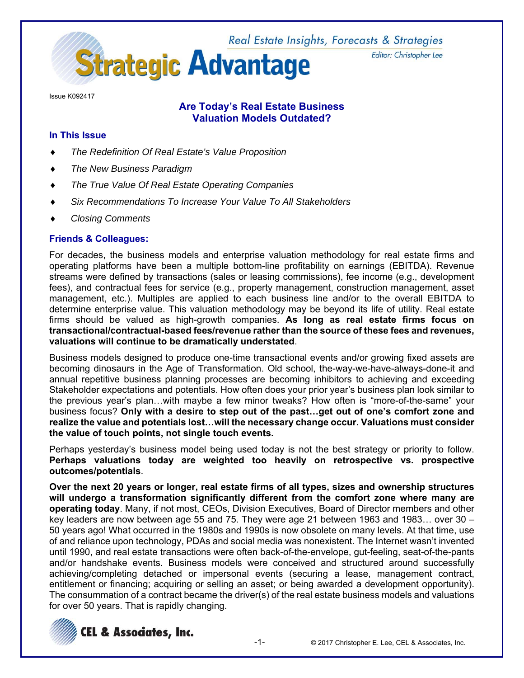Real Estate Insights, Forecasts & Strategies **Strategic Advantage** 

Issue K092417

# **Are Today's Real Estate Business Valuation Models Outdated?**

### **In This Issue**

- *The Redefinition Of Real Estate's Value Proposition*
- *The New Business Paradigm*
- *The True Value Of Real Estate Operating Companies*
- *Six Recommendations To Increase Your Value To All Stakeholders*
- *Closing Comments*

### **Friends & Colleagues:**

For decades, the business models and enterprise valuation methodology for real estate firms and operating platforms have been a multiple bottom-line profitability on earnings (EBITDA). Revenue streams were defined by transactions (sales or leasing commissions), fee income (e.g., development fees), and contractual fees for service (e.g., property management, construction management, asset management, etc.). Multiples are applied to each business line and/or to the overall EBITDA to determine enterprise value. This valuation methodology may be beyond its life of utility. Real estate firms should be valued as high-growth companies. **As long as real estate firms focus on transactional/contractual-based fees/revenue rather than the source of these fees and revenues, valuations will continue to be dramatically understated**.

Business models designed to produce one-time transactional events and/or growing fixed assets are becoming dinosaurs in the Age of Transformation. Old school, the-way-we-have-always-done-it and annual repetitive business planning processes are becoming inhibitors to achieving and exceeding Stakeholder expectations and potentials. How often does your prior year's business plan look similar to the previous year's plan…with maybe a few minor tweaks? How often is "more-of-the-same" your business focus? **Only with a desire to step out of the past…get out of one's comfort zone and realize the value and potentials lost…will the necessary change occur. Valuations must consider the value of touch points, not single touch events.**

Perhaps yesterday's business model being used today is not the best strategy or priority to follow. **Perhaps valuations today are weighted too heavily on retrospective vs. prospective outcomes/potentials**.

**Over the next 20 years or longer, real estate firms of all types, sizes and ownership structures will undergo a transformation significantly different from the comfort zone where many are operating today**. Many, if not most, CEOs, Division Executives, Board of Director members and other key leaders are now between age 55 and 75. They were age 21 between 1963 and 1983… over 30 – 50 years ago! What occurred in the 1980s and 1990s is now obsolete on many levels. At that time, use of and reliance upon technology, PDAs and social media was nonexistent. The Internet wasn't invented until 1990, and real estate transactions were often back-of-the-envelope, gut-feeling, seat-of-the-pants and/or handshake events. Business models were conceived and structured around successfully achieving/completing detached or impersonal events (securing a lease, management contract, entitlement or financing; acquiring or selling an asset; or being awarded a development opportunity). The consummation of a contract became the driver(s) of the real estate business models and valuations for over 50 years. That is rapidly changing.



Editor: Christopher Lee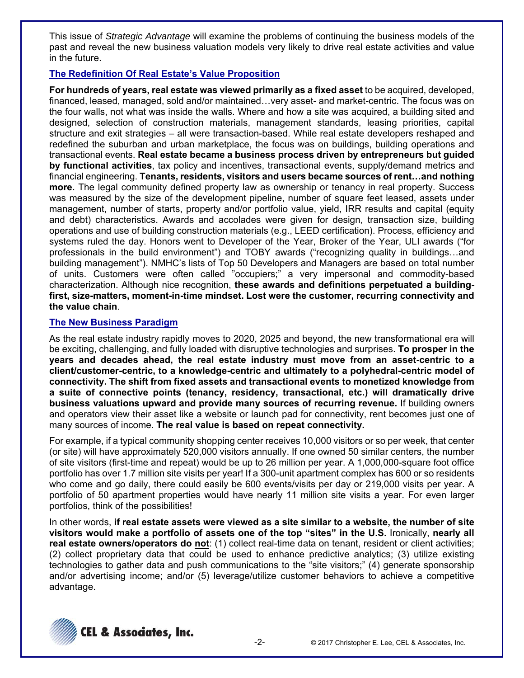This issue of *Strategic Advantage* will examine the problems of continuing the business models of the past and reveal the new business valuation models very likely to drive real estate activities and value in the future.

# **The Redefinition Of Real Estate's Value Proposition**

**For hundreds of years, real estate was viewed primarily as a fixed asset** to be acquired, developed, financed, leased, managed, sold and/or maintained... very asset- and market-centric. The focus was on the four walls, not what was inside the walls. Where and how a site was acquired, a building sited and designed, selection of construction materials, management standards, leasing priorities, capital structure and exit strategies – all were transaction-based. While real estate developers reshaped and redefined the suburban and urban marketplace, the focus was on buildings, building operations and transactional events. **Real estate became a business process driven by entrepreneurs but guided by functional activities**, tax policy and incentives, transactional events, supply/demand metrics and financial engineering. **Tenants, residents, visitors and users became sources of rent…and nothing more.** The legal community defined property law as ownership or tenancy in real property. Success was measured by the size of the development pipeline, number of square feet leased, assets under management, number of starts, property and/or portfolio value, yield, IRR results and capital (equity and debt) characteristics. Awards and accolades were given for design, transaction size, building operations and use of building construction materials (e.g., LEED certification). Process, efficiency and systems ruled the day. Honors went to Developer of the Year, Broker of the Year, ULI awards ("for professionals in the build environment") and TOBY awards ("recognizing quality in buildings…and building management"). NMHC's lists of Top 50 Developers and Managers are based on total number of units. Customers were often called "occupiers;" a very impersonal and commodity-based characterization. Although nice recognition, **these awards and definitions perpetuated a buildingfirst, size-matters, moment-in-time mindset. Lost were the customer, recurring connectivity and the value chain**.

# **The New Business Paradigm**

As the real estate industry rapidly moves to 2020, 2025 and beyond, the new transformational era will be exciting, challenging, and fully loaded with disruptive technologies and surprises. **To prosper in the years and decades ahead, the real estate industry must move from an asset-centric to a client/customer-centric, to a knowledge-centric and ultimately to a polyhedral-centric model of connectivity. The shift from fixed assets and transactional events to monetized knowledge from a suite of connective points (tenancy, residency, transactional, etc.) will dramatically drive business valuations upward and provide many sources of recurring revenue.** If building owners and operators view their asset like a website or launch pad for connectivity, rent becomes just one of many sources of income. **The real value is based on repeat connectivity.** 

For example, if a typical community shopping center receives 10,000 visitors or so per week, that center (or site) will have approximately 520,000 visitors annually. If one owned 50 similar centers, the number of site visitors (first-time and repeat) would be up to 26 million per year. A 1,000,000-square foot office portfolio has over 1.7 million site visits per year! If a 300-unit apartment complex has 600 or so residents who come and go daily, there could easily be 600 events/visits per day or 219,000 visits per year. A portfolio of 50 apartment properties would have nearly 11 million site visits a year. For even larger portfolios, think of the possibilities!

In other words, **if real estate assets were viewed as a site similar to a website, the number of site visitors would make a portfolio of assets one of the top "sites" in the U.S.** Ironically, **nearly all real estate owners/operators do not**: (1) collect real-time data on tenant, resident or client activities; (2) collect proprietary data that could be used to enhance predictive analytics; (3) utilize existing technologies to gather data and push communications to the "site visitors;" (4) generate sponsorship and/or advertising income; and/or (5) leverage/utilize customer behaviors to achieve a competitive advantage.

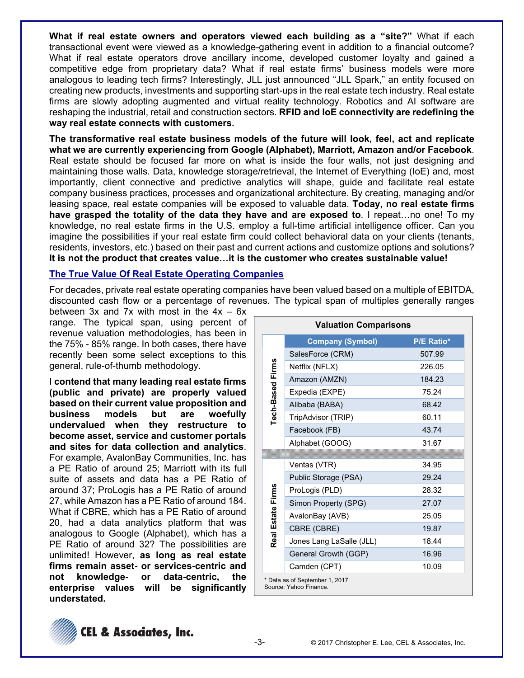**What if real estate owners and operators viewed each building as a "site?"** What if each transactional event were viewed as a knowledge-gathering event in addition to a financial outcome? What if real estate operators drove ancillary income, developed customer loyalty and gained a competitive edge from proprietary data? What if real estate firms' business models were more analogous to leading tech firms? Interestingly, JLL just announced "JLL Spark," an entity focused on creating new products, investments and supporting start-ups in the real estate tech industry. Real estate firms are slowly adopting augmented and virtual reality technology. Robotics and AI software are reshaping the industrial, retail and construction sectors. **RFID and IoE connectivity are redefining the way real estate connects with customers.**

**The transformative real estate business models of the future will look, feel, act and replicate what we are currently experiencing from Google (Alphabet), Marriott, Amazon and/or Facebook**. Real estate should be focused far more on what is inside the four walls, not just designing and maintaining those walls. Data, knowledge storage/retrieval, the Internet of Everything (IoE) and, most importantly, client connective and predictive analytics will shape, guide and facilitate real estate company business practices, processes and organizational architecture. By creating, managing and/or leasing space, real estate companies will be exposed to valuable data. **Today, no real estate firms have grasped the totality of the data they have and are exposed to**. I repeat…no one! To my knowledge, no real estate firms in the U.S. employ a full-time artificial intelligence officer. Can you imagine the possibilities if your real estate firm could collect behavioral data on your clients (tenants, residents, investors, etc.) based on their past and current actions and customize options and solutions? **It is not the product that creates value…it is the customer who creates sustainable value!**

### **The True Value Of Real Estate Operating Companies**

For decades, private real estate operating companies have been valued based on a multiple of EBITDA, discounted cash flow or a percentage of revenues. The typical span of multiples generally ranges

between  $3x$  and  $7x$  with most in the  $4x - 6x$ range. The typical span, using percent of revenue valuation methodologies, has been in the 75% - 85% range. In both cases, there have recently been some select exceptions to this general, rule-of-thumb methodology.

I **contend that many leading real estate firms (public and private) are properly valued based on their current value proposition and business models but are woefully undervalued when they restructure to become asset, service and customer portals and sites for data collection and analytics**. For example, AvalonBay Communities, Inc. has a PE Ratio of around 25; Marriott with its full suite of assets and data has a PE Ratio of around 37; ProLogis has a PE Ratio of around 27, while Amazon has a PE Ratio of around 184. What if CBRE, which has a PE Ratio of around 20, had a data analytics platform that was analogous to Google (Alphabet), which has a PE Ratio of around 32? The possibilities are unlimited! However, **as long as real estate firms remain asset- or services-centric and not knowledge- or data-centric, the enterprise values will be significantly understated.**

| <b>Valuation Comparisons</b> |                                                          |                   |  |  |  |
|------------------------------|----------------------------------------------------------|-------------------|--|--|--|
| Tech-Based Firms             | <b>Company (Symbol)</b>                                  | <b>P/E Ratio*</b> |  |  |  |
|                              | SalesForce (CRM)                                         | 507.99            |  |  |  |
|                              | Netflix (NFLX)                                           | 226.05            |  |  |  |
|                              | Amazon (AMZN)                                            | 184.23            |  |  |  |
|                              | Expedia (EXPE)                                           | 75.24             |  |  |  |
|                              | Alibaba (BABA)                                           | 68.42             |  |  |  |
|                              | TripAdvisor (TRIP)                                       | 60.11             |  |  |  |
|                              | Facebook (FB)                                            | 43.74             |  |  |  |
|                              | Alphabet (GOOG)                                          | 31.67             |  |  |  |
|                              |                                                          |                   |  |  |  |
|                              | Ventas (VTR)                                             | 34.95             |  |  |  |
|                              | Public Storage (PSA)                                     | 29.24             |  |  |  |
|                              | ProLogis (PLD)                                           | 28.32             |  |  |  |
|                              | Simon Property (SPG)                                     | 27.07             |  |  |  |
| Real Estate Firms            | AvalonBay (AVB)                                          | 25.05             |  |  |  |
|                              | CBRE (CBRE)                                              | 19.87             |  |  |  |
|                              | Jones Lang LaSalle (JLL)                                 | 18.44             |  |  |  |
|                              | General Growth (GGP)                                     | 16.96             |  |  |  |
|                              | Camden (CPT)                                             | 10.09             |  |  |  |
|                              | * Data as of September 1, 2017<br>Source: Yahoo Finance. |                   |  |  |  |

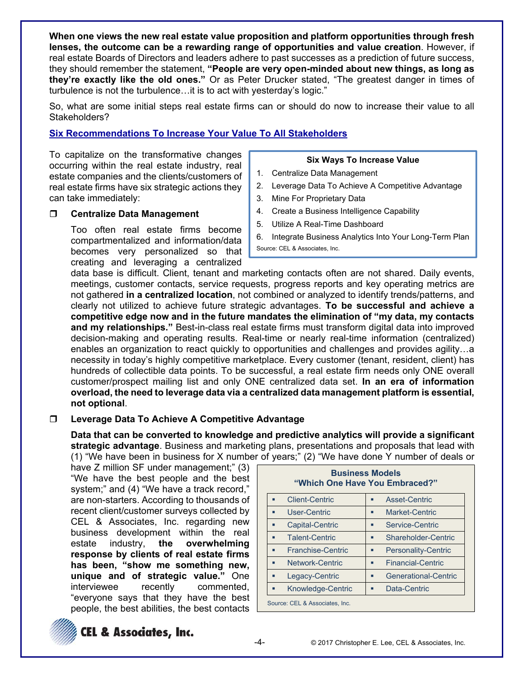**When one views the new real estate value proposition and platform opportunities through fresh lenses, the outcome can be a rewarding range of opportunities and value creation**. However, if real estate Boards of Directors and leaders adhere to past successes as a prediction of future success, they should remember the statement, **"People are very open-minded about new things, as long as they're exactly like the old ones."** Or as Peter Drucker stated, "The greatest danger in times of turbulence is not the turbulence…it is to act with yesterday's logic."

So, what are some initial steps real estate firms can or should do now to increase their value to all Stakeholders?

## **Six Recommendations To Increase Your Value To All Stakeholders**

To capitalize on the transformative changes occurring within the real estate industry, real estate companies and the clients/customers of real estate firms have six strategic actions they can take immediately:

### **Centralize Data Management**

Too often real estate firms become compartmentalized and information/data becomes very personalized so that creating and leveraging a centralized

#### **Six Ways To Increase Value**

- 1. Centralize Data Management
- 2. Leverage Data To Achieve A Competitive Advantage
- 3. Mine For Proprietary Data
- 4. Create a Business Intelligence Capability
- 5. Utilize A Real-Time Dashboard
- 6. Integrate Business Analytics Into Your Long-Term Plan Source: CEL & Associates, Inc.

data base is difficult. Client, tenant and marketing contacts often are not shared. Daily events, meetings, customer contacts, service requests, progress reports and key operating metrics are not gathered **in a centralized location**, not combined or analyzed to identify trends/patterns, and clearly not utilized to achieve future strategic advantages. **To be successful and achieve a competitive edge now and in the future mandates the elimination of "my data, my contacts and my relationships."** Best-in-class real estate firms must transform digital data into improved decision-making and operating results. Real-time or nearly real-time information (centralized) enables an organization to react quickly to opportunities and challenges and provides agility…a necessity in today's highly competitive marketplace. Every customer (tenant, resident, client) has hundreds of collectible data points. To be successful, a real estate firm needs only ONE overall customer/prospect mailing list and only ONE centralized data set. **In an era of information overload, the need to leverage data via a centralized data management platform is essential, not optional**.

### **Leverage Data To Achieve A Competitive Advantage**

**Data that can be converted to knowledge and predictive analytics will provide a significant strategic advantage**. Business and marketing plans, presentations and proposals that lead with (1) "We have been in business for X number of years;" (2) "We have done Y number of deals or

have Z million SF under management;" (3) "We have the best people and the best system;" and (4) "We have a track record," are non-starters. According to thousands of recent client/customer surveys collected by CEL & Associates, Inc. regarding new business development within the real estate industry, **the overwhelming response by clients of real estate firms has been, "show me something new, unique and of strategic value."** One interviewee recently commented, "everyone says that they have the best people, the best abilities, the best contacts

| <b>Business Models</b><br>"Which One Have You Embraced?" |                       |   |                            |  |
|----------------------------------------------------------|-----------------------|---|----------------------------|--|
|                                                          | <b>Client-Centric</b> | ٠ | Asset-Centric              |  |
|                                                          | User-Centric          |   | Market-Centric             |  |
|                                                          | Capital-Centric       | п | Service-Centric            |  |
|                                                          | Talent-Centric        |   | Shareholder-Centric        |  |
| ٠                                                        | Franchise-Centric     | п | <b>Personality-Centric</b> |  |
| п                                                        | Network-Centric       | ٠ | <b>Financial-Centric</b>   |  |
|                                                          | Legacy-Centric        |   | Generational-Centric       |  |
|                                                          | Knowledge-Centric     | п | Data-Centric               |  |
| Source: CEL & Associates, Inc.                           |                       |   |                            |  |

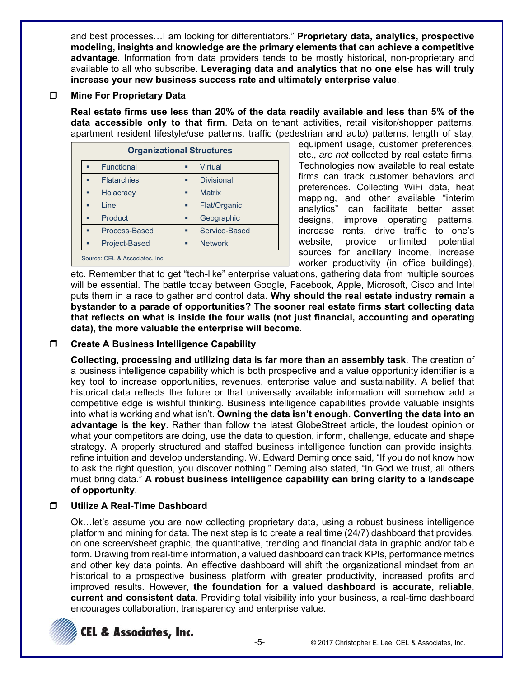and best processes…I am looking for differentiators." **Proprietary data, analytics, prospective modeling, insights and knowledge are the primary elements that can achieve a competitive advantage**. Information from data providers tends to be mostly historical, non-proprietary and available to all who subscribe. **Leveraging data and analytics that no one else has will truly increase your new business success rate and ultimately enterprise value**.

## **Mine For Proprietary Data**

**Real estate firms use less than 20% of the data readily available and less than 5% of the data accessible only to that firm**. Data on tenant activities, retail visitor/shopper patterns, apartment resident lifestyle/use patterns, traffic (pedestrian and auto) patterns, length of stay,

| <b>Organizational Structures</b> |                        |  |  |  |
|----------------------------------|------------------------|--|--|--|
| Functional                       | Virtual<br>п           |  |  |  |
| <b>Flatarchies</b>               | <b>Divisional</b><br>п |  |  |  |
| Holacracy                        | <b>Matrix</b><br>п     |  |  |  |
| I ine                            | Flat/Organic<br>п      |  |  |  |
| Product                          | Geographic<br>п        |  |  |  |
| Process-Based                    | Service-Based<br>п     |  |  |  |
| Project-Based                    | <b>Network</b><br>п    |  |  |  |
| Source: CEL & Associates, Inc.   |                        |  |  |  |

equipment usage, customer preferences, etc., *are not* collected by real estate firms. Technologies now available to real estate firms can track customer behaviors and preferences. Collecting WiFi data, heat mapping, and other available "interim analytics" can facilitate better asset designs, improve operating patterns, increase rents, drive traffic to one's website, provide unlimited potential sources for ancillary income, increase worker productivity (in office buildings),

etc. Remember that to get "tech-like" enterprise valuations, gathering data from multiple sources will be essential. The battle today between Google, Facebook, Apple, Microsoft, Cisco and Intel puts them in a race to gather and control data. **Why should the real estate industry remain a bystander to a parade of opportunities? The sooner real estate firms start collecting data that reflects on what is inside the four walls (not just financial, accounting and operating data), the more valuable the enterprise will become**.

# **Create A Business Intelligence Capability**

**Collecting, processing and utilizing data is far more than an assembly task**. The creation of a business intelligence capability which is both prospective and a value opportunity identifier is a key tool to increase opportunities, revenues, enterprise value and sustainability. A belief that historical data reflects the future or that universally available information will somehow add a competitive edge is wishful thinking. Business intelligence capabilities provide valuable insights into what is working and what isn't. **Owning the data isn't enough. Converting the data into an advantage is the key**. Rather than follow the latest GlobeStreet article, the loudest opinion or what your competitors are doing, use the data to question, inform, challenge, educate and shape strategy. A properly structured and staffed business intelligence function can provide insights, refine intuition and develop understanding. W. Edward Deming once said, "If you do not know how to ask the right question, you discover nothing." Deming also stated, "In God we trust, all others must bring data." **A robust business intelligence capability can bring clarity to a landscape of opportunity**.

# **Utilize A Real-Time Dashboard**

Ok…let's assume you are now collecting proprietary data, using a robust business intelligence platform and mining for data. The next step is to create a real time (24/7) dashboard that provides, on one screen/sheet graphic, the quantitative, trending and financial data in graphic and/or table form. Drawing from real-time information, a valued dashboard can track KPIs, performance metrics and other key data points. An effective dashboard will shift the organizational mindset from an historical to a prospective business platform with greater productivity, increased profits and improved results. However, **the foundation for a valued dashboard is accurate, reliable, current and consistent data**. Providing total visibility into your business, a real-time dashboard encourages collaboration, transparency and enterprise value.

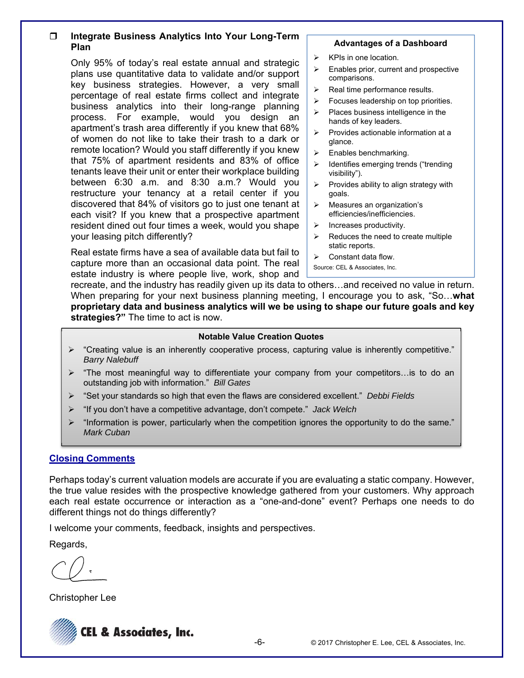## **Integrate Business Analytics Into Your Long-Term Plan**

Only 95% of today's real estate annual and strategic plans use quantitative data to validate and/or support key business strategies. However, a very small percentage of real estate firms collect and integrate business analytics into their long-range planning process. For example, would you design an apartment's trash area differently if you knew that 68% of women do not like to take their trash to a dark or remote location? Would you staff differently if you knew that 75% of apartment residents and 83% of office tenants leave their unit or enter their workplace building between 6:30 a.m. and 8:30 a.m.? Would you restructure your tenancy at a retail center if you discovered that 84% of visitors go to just one tenant at each visit? If you knew that a prospective apartment resident dined out four times a week, would you shape your leasing pitch differently?

Real estate firms have a sea of available data but fail to capture more than an occasional data point. The real estate industry is where people live, work, shop and

#### **Advantages of a Dashboard**

- $\triangleright$  KPIs in one location.
- $\triangleright$  Enables prior, current and prospective comparisons.
- $\triangleright$  Real time performance results.
- $\triangleright$  Focuses leadership on top priorities.
- $\triangleright$  Places business intelligence in the hands of key leaders.
- $\triangleright$  Provides actionable information at a glance.
- $\triangleright$  Enables benchmarking.
- $\blacktriangleright$  Identifies emerging trends ("trending visibility").
- $\triangleright$  Provides ability to align strategy with goals.
- $\triangleright$  Measures an organization's efficiencies/inefficiencies.
- $\triangleright$  Increases productivity.
- $\triangleright$  Reduces the need to create multiple static reports.
- $\triangleright$  Constant data flow.
- Source: CEL & Associates, Inc.

recreate, and the industry has readily given up its data to others…and received no value in return. When preparing for your next business planning meeting, I encourage you to ask, "So…**what proprietary data and business analytics will we be using to shape our future goals and key strategies?"** The time to act is now.

#### **Notable Value Creation Quotes**

- $\triangleright$  "Creating value is an inherently cooperative process, capturing value is inherently competitive." *Barry Nalebuff*
- "The most meaningful way to differentiate your company from your competitors…is to do an outstanding job with information." *Bill Gates*
- "Set your standards so high that even the flaws are considered excellent." *Debbi Fields*
- "If you don't have a competitive advantage, don't compete." *Jack Welch*
- "Information is power, particularly when the competition ignores the opportunity to do the same." *Mark Cuban*

### **Closing Comments**

Perhaps today's current valuation models are accurate if you are evaluating a static company. However, the true value resides with the prospective knowledge gathered from your customers. Why approach each real estate occurrence or interaction as a "one-and-done" event? Perhaps one needs to do different things not do things differently?

I welcome your comments, feedback, insights and perspectives.

Regards,

Christopher Lee

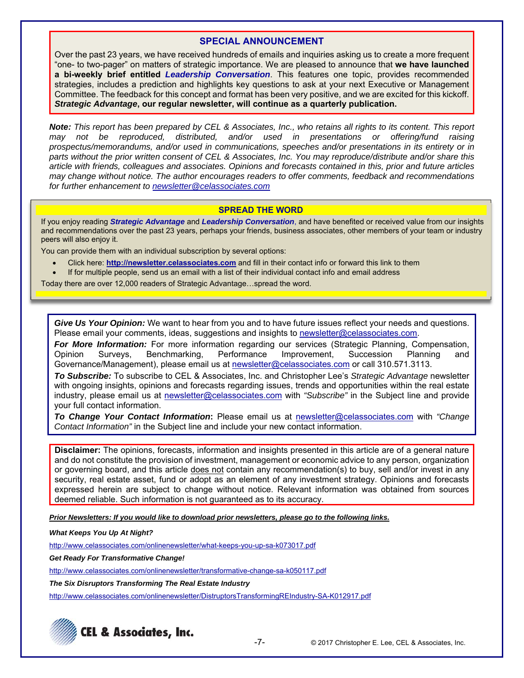## **SPECIAL ANNOUNCEMENT**

Over the past 23 years, we have received hundreds of emails and inquiries asking us to create a more frequent "one- to two-pager" on matters of strategic importance. We are pleased to announce that **we have launched a bi-weekly brief entitled** *Leadership Conversation*. This features one topic, provides recommended strategies, includes a prediction and highlights key questions to ask at your next Executive or Management Committee. The feedback for this concept and format has been very positive, and we are excited for this kickoff. *Strategic Advantage***, our regular newsletter, will continue as a quarterly publication.**

*Note: This report has been prepared by CEL & Associates, Inc., who retains all rights to its content. This report may not be reproduced, distributed, and/or used in presentations or offering/fund raising prospectus/memorandums, and/or used in communications, speeches and/or presentations in its entirety or in parts without the prior written consent of CEL & Associates, Inc. You may reproduce/distribute and/or share this article with friends, colleagues and associates. Opinions and forecasts contained in this, prior and future articles may change without notice. The author encourages readers to offer comments, feedback and recommendations for further enhancement to newsletter@celassociates.com* 

#### **SPREAD THE WORD**

If you enjoy reading *Strategic Advantage* and *Leadership Conversation*, and have benefited or received value from our insights and recommendations over the past 23 years, perhaps your friends, business associates, other members of your team or industry peers will also enjoy it.

You can provide them with an individual subscription by several options:

- Click here: **http://newsletter.celassociates.com** and fill in their contact info or forward this link to them
- If for multiple people, send us an email with a list of their individual contact info and email address

Today there are over 12,000 readers of Strategic Advantage…spread the word.

*Give Us Your Opinion:* We want to hear from you and to have future issues reflect your needs and questions. Please email your comments, ideas, suggestions and insights to newsletter@celassociates.com.

*For More Information:* For more information regarding our services (Strategic Planning, Compensation, Opinion Surveys, Benchmarking, Performance Improvement, Succession Planning and Governance/Management), please email us at newsletter@celassociates.com or call 310.571.3113.

*To Subscribe:* To subscribe to CEL & Associates, Inc. and Christopher Lee's *Strategic Advantage* newsletter with ongoing insights, opinions and forecasts regarding issues, trends and opportunities within the real estate industry, please email us at newsletter@celassociates.com with *"Subscribe"* in the Subject line and provide your full contact information.

*To Change Your Contact Information***:** Please email us at newsletter@celassociates.com with *"Change Contact Information"* in the Subject line and include your new contact information.

**Disclaimer:** The opinions, forecasts, information and insights presented in this article are of a general nature and do not constitute the provision of investment, management or economic advice to any person, organization or governing board, and this article does not contain any recommendation(s) to buy, sell and/or invest in any security, real estate asset, fund or adopt as an element of any investment strategy. Opinions and forecasts expressed herein are subject to change without notice. Relevant information was obtained from sources deemed reliable. Such information is not guaranteed as to its accuracy.

*Prior Newsletters: If you would like to download prior newsletters, please go to the following links.* 

#### *What Keeps You Up At Night?*

http://www.celassociates.com/onlinenewsletter/what-keeps-you-up-sa-k073017.pdf

*Get Ready For Transformative Change!* 

http://www.celassociates.com/onlinenewsletter/transformative-change-sa-k050117.pdf

*The Six Disruptors Transforming The Real Estate Industry* 

http://www.celassociates.com/onlinenewsletter/DistruptorsTransformingREIndustry-SA-K012917.pdf